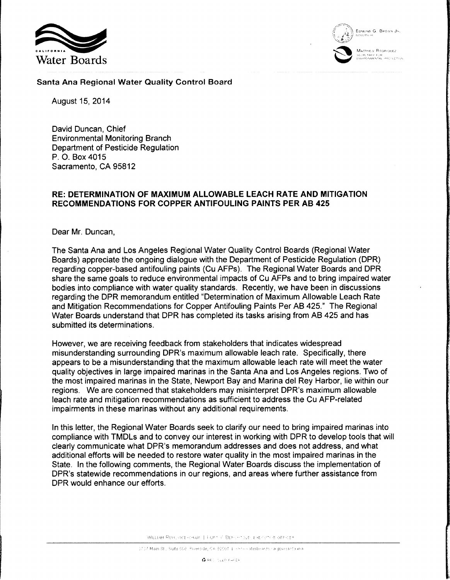



# Santa Ana Regional Water Quality Control Board

August 15, 2014

David Duncan, Chief Environmental Monitoring Branch Department of Pesticide Regulation P. 0. Box 4015 Sacramento, CA 95812

### **RE: DETERMINATION OF MAXIMUM ALLOWABLE LEACH RATE AND MITIGATION RECOMMENDATIONS FOR COPPER ANTIFOULING PAINTS PER AB 425**

Dear Mr. Duncan,

The Santa Ana and Los Angeles Regional Water Quality Control Boards (Regional Water Boards) appreciate the ongoing dialogue with the Department of Pesticide Regulation (DPR) regarding copper-based antifouling paints (Cu AFPs). The Regional Water Boards and DPR share the same goals to reduce environmental impacts of Cu AFPs and to bring impaired water bodies into compliance with water quality standards. Recently, we have been in discussions regarding the DPR memorandum entitled "Determination of Maximum Allowable Leach Rate and Mitigation Recommendations for Copper Antifouling Paints Per AB 425." The Regional Water Boards understand that DPR has completed its tasks arising from AB 425 and has submitted its determinations.

However, we are receiving feedback from stakeholders that indicates widespread misunderstanding surrounding DPR's maximum allowable leach rate. Specifically, there appears to be a misunderstanding that the maximum allowable leach rate will meet the water quality objectives in large impaired marinas in the Santa Ana and Los Angeles regions. Two of the most impaired marinas in the State, Newport Bay and Marina del Rey Harbor, lie within our regions. We are concerned that stakeholders may misinterpret DPR's maximum allowable leach rate and mitigation recommendations as sufficient to address the Cu AFP-related impairments in these marinas without any additional requirements.

In this letter, the Regional Water Boards seek to clarify our need to bring impaired marinas into compliance with TMDLs and to convey our interest in working with DPR to develop tools that will clearly communicate what DPR's memorandum addresses and does not address, and what additional efforts will be needed to restore water quality in the most impaired marinas in the State. In the following comments, the Regional Water Boards discuss the implementation of DPR's statewide recommendations in our regions, and areas where further assistance from DPR would enhance our efforts.

WILLIAM RUH, VICE-CHAIR | HURT V. BERNHT (LE) EXECUTOR OFFICER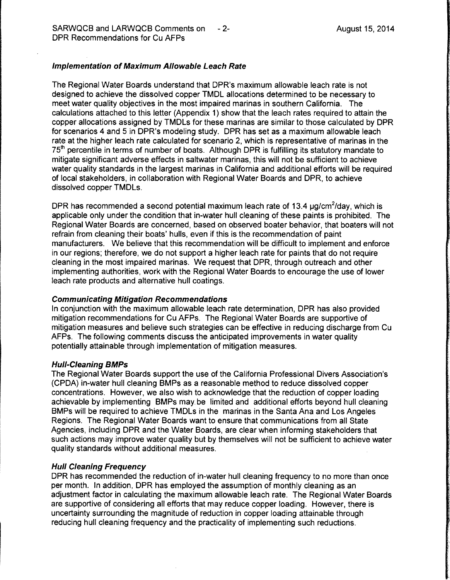# Implementation of Maximum Allowable Leach Rate

The Regional Water Boards understand that DPR's maximum allowable leach rate is not designed to achieve the dissolved copper TMDL allocations determined to be necessary to meet water quality objectives in the most impaired marinas in southern California. The calculations attached to this letter (Appendix 1) show that the leach rates required to attain the copper allocations assigned by TMDLs for these marinas are similar to those calculated by DPR for scenarios 4 and 5 in DPR's modeling study. DPR has set as a maximum allowable leach rate at the higher leach rate calculated for scenario 2, which is representative of marinas in the 75<sup>th</sup> percentile in terms of number of boats. Although DPR is fulfilling its statutory mandate to mitigate significant adverse effects in saltwater marinas, this will not be sufficient to achieve water quality standards in the largest marinas in California and additional efforts will be required of local stakeholders, in collaboration with Regional Water Boards and DPR, to achieve dissolved copper TMDLs.

DPR has recommended a second potential maximum leach rate of 13.4  $\mu$ g/cm<sup>2</sup>/day, which is applicable only under the condition that in-water hull cleaning of these paints is prohibited. The Regional Water Boards are concerned, based on observed boater behavior, that boaters will not refrain from cleaning their boats' hulls, even if this is the recommendation of paint manufacturers. We believe that this recommendation will be difficult to implement and enforce in our regions; therefore, we do not support a higher leach rate for paints that do not require cleaning in the most impaired marinas. We request that DPR, through outreach and other implementing authorities, work with the Regional Water Boards to encourage the use of lower leach rate products and alternative hull coatings.

### Communicating Mitigation Recommendations

In conjunction with the maximum allowable leach rate determination, DPR has also provided mitigation recommendations for Cu AFPs. The Regional Water Boards are supportive of mitigation measures and believe such strategies can be effective in reducing discharge from Cu AFPs. The following comments discuss the anticipated improvements in water quality potentially attainable through implementation of mitigation measures.

#### Hull-Cleaning BMPs

The Regional Water Boards support the use of the California Professional Divers Association's (CPDA) in-water hull cleaning BMPs as a reasonable method to reduce dissolved copper concentrations. However, we also wish to acknowledge that the reduction of copper loading achievable by implementing BMPs may. be limited and additional efforts beyond hull cleaning BMPs will be required to achieve TMDLs in the marinas in the Santa Ana and Los Angeles Regions. The Regional Water Boards want to ensure that communications from all State Agencies, including DPR and the Water Boards, are clear when informing stakeholders that such actions may improve water quality but by themselves will not be sufficient to achieve water quality standards without additional measures.

#### Hull Cleaning Frequency

DPR has recommended the reduction of in-water hull cleaning frequency to no more than once per month. In addition, DPR has employed the assumption of monthly cleaning as an adjustment factor in calculating the maximum allowable leach rate. The Regional Water Boards are supportive of considering all efforts that may reduce copper loading. However, there is uncertainty surrounding the magnitude of reduction in copper loading attainable through reducing hull cleaning frequency and the practicality of implementing such reductions.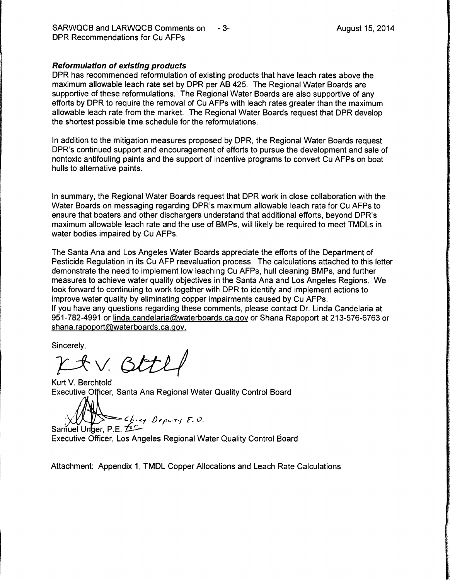#### Reformulation of existing products

DPR has recommended reformulation of existing products that have leach rates above the maximum allowable leach rate set by DPR per AB 425. The Regional Water Boards are supportive of these reformulations. The Regional Water Boards are also supportive of any efforts by DPR to require the removal of Cu AFPs with leach rates greater than the maximum allowable leach rate from the market. The Regional Water Boards request that DPR develop the shortest possible time schedule for the reformulations.

In addition to the mitigation measures proposed by DPR, the Regional Water Boards request DPR's continued support and encouragement of efforts to pursue the development and sale of nontoxic antifouling paints and the support of incentive programs to convert Cu AFPs on boat hulls to alternative paints.

In summary, the Regional Water Boards request that DPR work in close collaboration with the Water Boards on messaging regarding DPR's maximum allowable leach rate for Cu AFPs to ensure that boaters and other dischargers understand that additional efforts, beyond DPR's maximum allowable leach rate and the use of BMPs, will likely be required to meet TMDLs in water bodies impaired by Cu AFPs.

The Santa Ana and Los Angeles Water Boards appreciate the efforts of the Department of Pesticide Regulation in its Cu AFP reevaluation process. The calculations attached to this letter demonstrate the need to implement low leaching Cu AFPs, hull cleaning BMPs, and further measures to achieve water quality objectives in the Santa Ana and Los Angeles Regions. We look forward to continuing to work together with DPR to identify and implement actions to improve water quality by eliminating copper impairments caused by Cu AFPs. If you have any questions regarding these comments, please contact Dr. linda Candelaria at 951-782-4991 or linda.candelaria@waterboards.ca.gov or Shana Rapoport at 213-576-6763 or shana.rapoport@waterboards.ca.gov.

Sincerely,

 $p$ *x* + v. Bttl

Kurt V. Berchtold Executive Officer, Santa Ana Regional Water Quality Control Board

 $\bigwedge_{\text{Gamma-} \downarrow \downarrow \downarrow} \bigotimes_{\text{Cyl} \downarrow \downarrow} \bigotimes_{\text{Cyl} \downarrow \downarrow} \bigotimes_{\text{Cyl} \downarrow \downarrow} \bigotimes_{\text{Cyl} \downarrow} \bigotimes_{\text{Cyl} \downarrow} \bigotimes_{\text{Cyl} \downarrow} \bigotimes_{\text{Cyl} \downarrow} \bigotimes_{\text{Cyl} \downarrow} \bigotimes_{\text{Cyl} \downarrow} \bigotimes_{\text{Cyl} \downarrow} \bigotimes_{\text{Cyl} \downarrow} \bigotimes_{\text{Cyl} \downarrow} \bigotimes_{\text{Cyl$ 

Executive Officer, Los Angeles Regional Water Quality Control Board

Attachment: Appendix 1, TMDL Copper Allocations and Leach Rate Calculations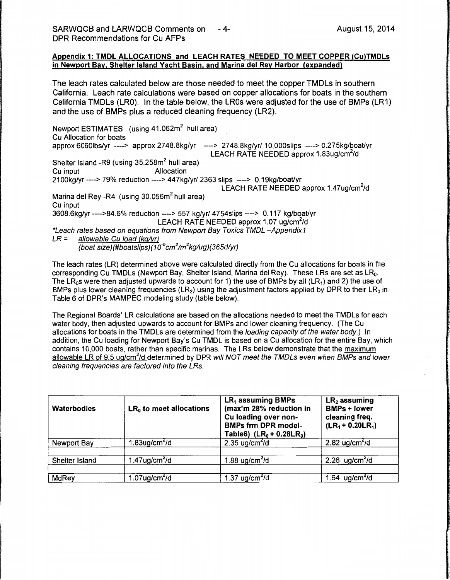#### Appendix 1: TMDL ALLOCATIONS and LEACH RATES NEEDED TO MEET COPPER (Cu)TMDLs in Newport Bay, Shelter Island Yacht Basin, and Marina del Rey Harbor (expanded)

The leach rates calculated below are those needed to meet the copper TMDLs in southern California. Leach rate calculations were based on copper allocations for boats in the southern California TMDLs (LRO). In the table below, the LROs were adjusted for the use of BMPs (LR1) and the use of BMPs plus a reduced cleaning frequency (LR2).

Newport ESTIMATES (using 41.062m<sup>2</sup> hull area) Cu Allocation for boats approx 6060lbs/yr ----> approx 2748.8kg/yr ----> 2748.8kg/yr/ 10,000slips ----> 0.275kg/boat/vr LEACH RATE NEEDED approx 1.83ug/cm<sup>2</sup>/d Shelter Island -R9 (using 35.258m<sup>2</sup> hull area) Cu input **Allocation** 21 OOkg/yr ----> 79% reduction ----> 447kg/yr/ 2363 slips ----> 0.19kg/boaUyr LEACH RATE NEEDED approx 1.47ug/cm<sup>2</sup>/d Marina del Rey -R4 (using 30.056m<sup>2</sup> hull area) Cu input 3608.6kg/yr ---->84.6% reduction ----> 557 kg/yr/ 4754slips ----> 0.117 kg/boat/yr LEACH RATE NEEDED approx 1.07 ug/cm<sup>2</sup>/d \*Leach rates based on equations from Newport Bay Toxics TMDL -Appendix1  $LR =$  allowable Cu load (kg/yr) (boat size)(#boatslips) (1 *o-<sup>5</sup>*cm*<sup>2</sup>* /m*<sup>2</sup>*kglug) (365dlyr)

The leach rates (LR) determined above were calculated directly from the Cu allocations for boats in the corresponding Cu TMDLs (Newport Bay, Shelter Island, Marina del Rey). These LRs are set as LR<sub>0</sub>. The LR<sub>0</sub>s were then adjusted upwards to account for 1) the use of BMPs by all (LR<sub>1</sub>) and 2) the use of BMPs plus lower cleaning frequencies  $(LR_2)$  using the adjustment factors applied by DPR to their  $LR_0$  in Table 6 of DPR's MAMPEC modeling study (table below).

The Regional Boards' LR calculations are based on the allocations needed to meet the TMDLs for each water body, then adjusted upwards to account for BMPs and lower cleaning frequency. (The Cu allocations for boats in the TMDLs are determined from the loading capacity of the water body.) In addition, the Cu loading for Newport Bay's Cu TMDL is based on a Cu allocation for the entire Bay, which contains 10,000 boats, rather than specific marinas. The LRs below demonstrate that the maximum allowable LR of 9.5 ug/cm<sup>2</sup>/d determined by DPR will NOT meet the TMDLs even when BMPs and lower cleaning frequencies are factored into the LRs.

| Waterbodies    | $LR0$ to meet allocations | $LR_1$ assuming BMPs<br>(max'm 28% reduction in<br>Cu loading over non-<br><b>BMPs frm DPR model-</b><br>Table6) $(LR_0 + 0.28LR_0)$ | $LR2$ assuming<br><b>BMPs + lower</b><br>cleaning freq.<br>$(LR_1 + 0.20LR_1)$ |
|----------------|---------------------------|--------------------------------------------------------------------------------------------------------------------------------------|--------------------------------------------------------------------------------|
| Newport Bay    | 1.83ug/cm $^{2}$ /d       | 2.35 ug/cm <sup>2</sup> /d                                                                                                           | 2.82 ug/cm $^{2}$ /d                                                           |
|                |                           |                                                                                                                                      |                                                                                |
| Shelter Island | $1.47$ ug/cm $^{2}$ /d    | 1.88 ug/cm $^{2}$ /d                                                                                                                 | 2.26 $ug/cm2/d$                                                                |
|                |                           |                                                                                                                                      |                                                                                |
| MdRey          | 1.07ug/cm $^{2}$ /d       | 1.37 ug/cm $^{2}$ /d                                                                                                                 | 1.64 $ug/cm2/d$                                                                |